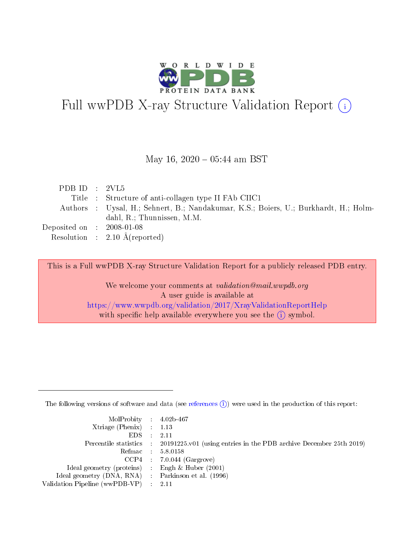

# Full wwPDB X-ray Structure Validation Report (i)

#### May 16,  $2020 - 05:44$  am BST

| PDB ID : $2VL5$                     |                                                                                      |
|-------------------------------------|--------------------------------------------------------------------------------------|
|                                     | Title : Structure of anti-collagen type II FAb CIIC1                                 |
|                                     | Authors : Uysal, H.; Sehnert, B.; Nandakumar, K.S.; Boiers, U.; Burkhardt, H.; Holm- |
|                                     | dahl, R.; Thunnissen, M.M.                                                           |
| Deposited on $\,$ : 2008-01-08 $\,$ |                                                                                      |
|                                     | Resolution : $2.10 \text{ Å}$ (reported)                                             |

This is a Full wwPDB X-ray Structure Validation Report for a publicly released PDB entry.

We welcome your comments at validation@mail.wwpdb.org A user guide is available at <https://www.wwpdb.org/validation/2017/XrayValidationReportHelp> with specific help available everywhere you see the  $(i)$  symbol.

The following versions of software and data (see [references](https://www.wwpdb.org/validation/2017/XrayValidationReportHelp#references)  $(i)$ ) were used in the production of this report:

| $MolProbability$ 4.02b-467<br>Xtriage (Phenix) $: 1.13$ |                                                                                                     |
|---------------------------------------------------------|-----------------------------------------------------------------------------------------------------|
| $EDS$ :                                                 | -2.11<br>Percentile statistics : 20191225.v01 (using entries in the PDB archive December 25th 2019) |
|                                                         | Refmac : 5.8.0158                                                                                   |
|                                                         | $CCP4$ : 7.0.044 (Gargrove)                                                                         |
| Ideal geometry (proteins) : Engh $\&$ Huber (2001)      |                                                                                                     |
| Ideal geometry (DNA, RNA) : Parkinson et al. (1996)     |                                                                                                     |
| Validation Pipeline (wwPDB-VP) :                        | -2.11                                                                                               |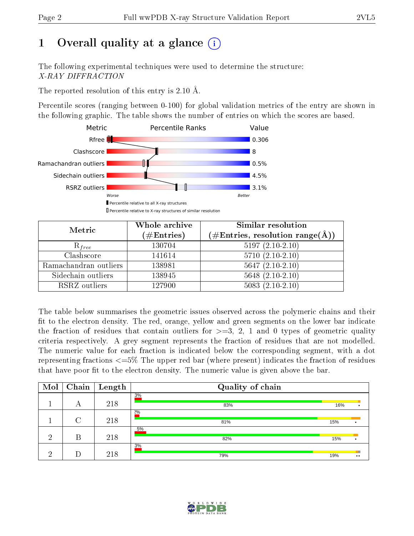# 1 [O](https://www.wwpdb.org/validation/2017/XrayValidationReportHelp#overall_quality)verall quality at a glance  $(i)$

The following experimental techniques were used to determine the structure: X-RAY DIFFRACTION

The reported resolution of this entry is 2.10 Å.

Percentile scores (ranging between 0-100) for global validation metrics of the entry are shown in the following graphic. The table shows the number of entries on which the scores are based.



| Metric                | Whole archive        | <b>Similar resolution</b>                                              |
|-----------------------|----------------------|------------------------------------------------------------------------|
|                       | $(\#\text{Entries})$ | $(\#\text{Entries},\, \text{resolution}\; \text{range}(\textup{\AA}))$ |
| $R_{free}$            | 130704               | $5197(2.10-2.10)$                                                      |
| Clashscore            | 141614               | $5710(2.10-2.10)$                                                      |
| Ramachandran outliers | 138981               | $5647(2.10-2.10)$                                                      |
| Sidechain outliers    | 138945               | $5648$ $(2.10-2.10)$                                                   |
| RSRZ outliers         | 127900               | $5083(2.10-2.10)$                                                      |

The table below summarises the geometric issues observed across the polymeric chains and their fit to the electron density. The red, orange, yellow and green segments on the lower bar indicate the fraction of residues that contain outliers for  $>=3, 2, 1$  and 0 types of geometric quality criteria respectively. A grey segment represents the fraction of residues that are not modelled. The numeric value for each fraction is indicated below the corresponding segment, with a dot representing fractions <=5% The upper red bar (where present) indicates the fraction of residues that have poor fit to the electron density. The numeric value is given above the bar.

| Mol | Chain  | $\vert$ Length | Quality of chain |     |                       |
|-----|--------|----------------|------------------|-----|-----------------------|
|     | А      | 218            | 3%<br>83%        | 16% |                       |
|     | $\cap$ | 218            | 2%<br>81%        | 15% |                       |
| ച   | В      | 218            | 5%<br>82%        | 15% |                       |
| ച   |        | 218            | 3%<br>79%        | 19% | ш<br>$\bullet\bullet$ |

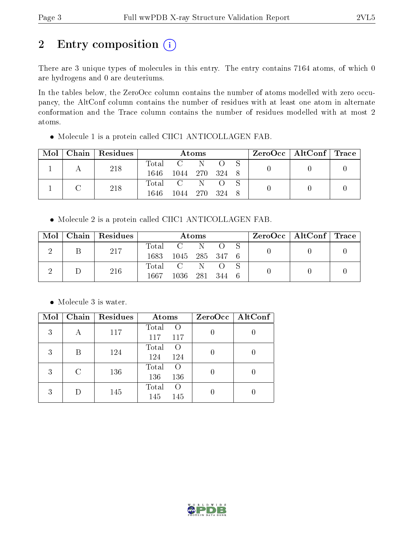# 2 Entry composition (i)

There are 3 unique types of molecules in this entry. The entry contains 7164 atoms, of which 0 are hydrogens and 0 are deuteriums.

In the tables below, the ZeroOcc column contains the number of atoms modelled with zero occupancy, the AltConf column contains the number of residues with at least one atom in alternate conformation and the Trace column contains the number of residues modelled with at most 2 atoms.

| Mol |  | Chain Residues | Atoms |                     |  |  |  | $ZeroOcc \mid AltConf \mid Trace$ |  |
|-----|--|----------------|-------|---------------------|--|--|--|-----------------------------------|--|
|     |  | 218            |       | Total C N O S       |  |  |  |                                   |  |
|     |  |                |       | 1646 1044 270 324 8 |  |  |  |                                   |  |
|     |  | 218            |       | Total C N           |  |  |  |                                   |  |
|     |  |                | 1646  | 1044 270 324        |  |  |  |                                   |  |

Molecule 1 is a protein called CIIC1 ANTICOLLAGEN FAB.

Molecule 2 is a protein called CIIC1 ANTICOLLAGEN FAB.

| Mol | Chain Residues | Atoms |                |  |  | $\text{ZeroOcc} \mid \text{AltConf} \mid \text{Trace}$ |  |  |
|-----|----------------|-------|----------------|--|--|--------------------------------------------------------|--|--|
|     | 217            |       | Total C N O S  |  |  |                                                        |  |  |
|     |                | 1683  | 1045 285 347 6 |  |  |                                                        |  |  |
|     | 216            |       | Total C N O S  |  |  |                                                        |  |  |
|     |                | 1667  | 1036 281 344 6 |  |  |                                                        |  |  |

• Molecule 3 is water.

| Mol |   | Chain   Residues | Atoms                                   | $ZeroOcc \mid AltConf \mid$ |
|-----|---|------------------|-----------------------------------------|-----------------------------|
| 3   | А | 117              | Total<br>$\left($<br>117<br>117         |                             |
| 3   | В | 124              | Total<br>$\left($<br>124<br>124         |                             |
| 3   | C | 136              | Total<br>$\left($<br>136<br>136         |                             |
| 3   |   | 145              | Total<br>$\left( \right)$<br>145<br>145 |                             |

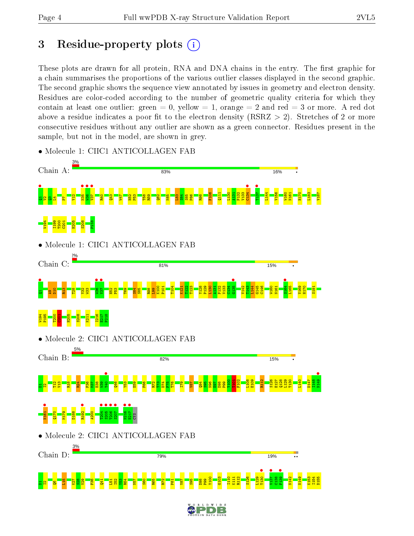# 3 Residue-property plots  $(i)$

These plots are drawn for all protein, RNA and DNA chains in the entry. The first graphic for a chain summarises the proportions of the various outlier classes displayed in the second graphic. The second graphic shows the sequence view annotated by issues in geometry and electron density. Residues are color-coded according to the number of geometric quality criteria for which they contain at least one outlier: green  $= 0$ , yellow  $= 1$ , orange  $= 2$  and red  $= 3$  or more. A red dot above a residue indicates a poor fit to the electron density (RSRZ  $> 2$ ). Stretches of 2 or more consecutive residues without any outlier are shown as a green connector. Residues present in the sample, but not in the model, are shown in grey.



• Molecule 1: CIIC1 ANTICOLLAGEN FAB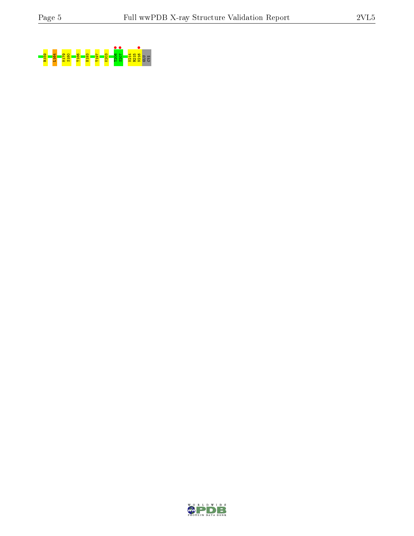

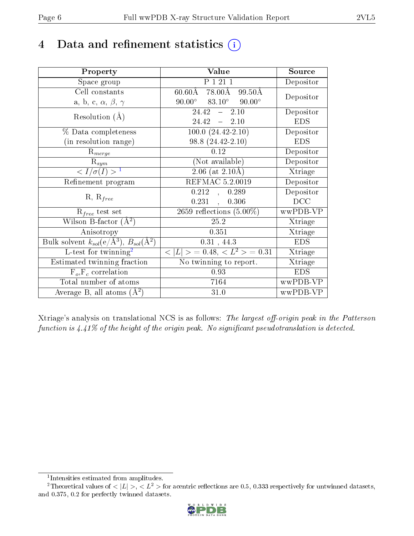# 4 Data and refinement statistics  $(i)$

| Property                                                         | Value                                             | Source     |
|------------------------------------------------------------------|---------------------------------------------------|------------|
| Space group                                                      | P 1 21 1                                          | Depositor  |
| Cell constants                                                   | $60.60$ Å 78.00Å<br>99.50Å                        | Depositor  |
| a, b, c, $\alpha$ , $\beta$ , $\gamma$                           | $83.10^\circ$<br>$90.00^{\circ}$<br>$90.00^\circ$ |            |
| Resolution $(A)$                                                 | 24.42<br>$-2.10$                                  | Depositor  |
|                                                                  | 24.42<br>$-2.10$                                  | <b>EDS</b> |
| $\%$ Data completeness                                           | $100.0 (24.42 - 2.10)$                            | Depositor  |
| (in resolution range)                                            | 98.8 (24.42-2.10)                                 | <b>EDS</b> |
| $R_{merge}$                                                      | 0.12                                              | Depositor  |
| $\mathrm{R}_{sym}$                                               | (Not available)                                   | Depositor  |
| $\langle I/\sigma(I) \rangle^{-1}$                               | $2.06$ (at $2.10\text{\AA})$                      | Xtriage    |
| Refinement program                                               | <b>REFMAC 5.2.0019</b>                            | Depositor  |
|                                                                  | 0.212<br>0.289<br>$\mathcal{L}$                   | Depositor  |
| $R, R_{free}$                                                    | $0.231$ ,<br>0.306                                | DCC        |
| $R_{free}$ test set                                              | 2659 reflections $(5.00\%)$                       | wwPDB-VP   |
| Wilson B-factor $(A^2)$                                          | 25.2                                              | Xtriage    |
| Anisotropy                                                       | 0.351                                             | Xtriage    |
| Bulk solvent $k_{sol}(\text{e}/\text{A}^3), B_{sol}(\text{A}^2)$ | 0.31, 44.3                                        | <b>EDS</b> |
| L-test for $\mathrm{twinning}^2$                                 | $< L >$ = 0.48, $< L2$ = 0.31                     | Xtriage    |
| Estimated twinning fraction                                      | No twinning to report.                            | Xtriage    |
| $\overline{F_o}, \overline{F_c}$ correlation                     | 0.93                                              | <b>EDS</b> |
| Total number of atoms                                            | 7164                                              | wwPDB-VP   |
| Average B, all atoms $(A^2)$                                     | 31.0                                              | wwPDB-VP   |

Xtriage's analysis on translational NCS is as follows: The largest off-origin peak in the Patterson function is  $4.41\%$  of the height of the origin peak. No significant pseudotranslation is detected.

<sup>&</sup>lt;sup>2</sup>Theoretical values of  $\langle |L| \rangle$ ,  $\langle L^2 \rangle$  for acentric reflections are 0.5, 0.333 respectively for untwinned datasets, and 0.375, 0.2 for perfectly twinned datasets.



<span id="page-5-1"></span><span id="page-5-0"></span><sup>1</sup> Intensities estimated from amplitudes.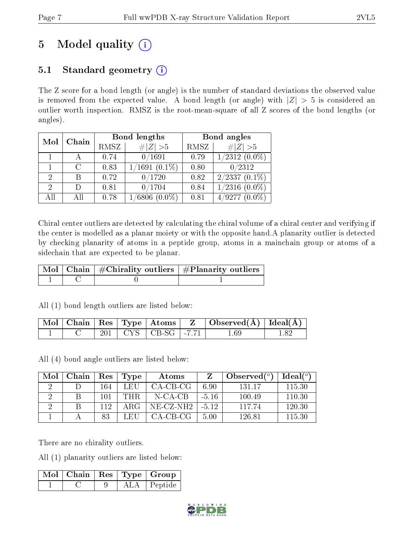# 5 Model quality  $(i)$

### 5.1 Standard geometry  $(i)$

The Z score for a bond length (or angle) is the number of standard deviations the observed value is removed from the expected value. A bond length (or angle) with  $|Z| > 5$  is considered an outlier worth inspection. RMSZ is the root-mean-square of all Z scores of the bond lengths (or angles).

| Mol | Chain  |      | Bond lengths               | Bond angles |                    |  |
|-----|--------|------|----------------------------|-------------|--------------------|--|
|     |        | RMSZ | # $ Z >5$                  | RMSZ        | # $ Z >5$          |  |
|     |        | 0.74 | 0/1691                     | 0.79        | $1/2312(0.0\%)$    |  |
|     | $\cap$ | 0.83 | $1/1691(0.1\%)$            | 0.80        | 0/2312             |  |
| 2   |        | 0.72 | 0/1720                     | 0.82        | $2/2337(0.1\%)$    |  |
| 2   | Ð      | 0.81 | 0/1704                     | 0.84        | $1/2316$ $(0.0\%)$ |  |
| AH  |        | 0.78 | $\sqrt{6806}$<br>$(0.0\%)$ | 0.81        | /9277<br>$(0.0\%)$ |  |

Chiral center outliers are detected by calculating the chiral volume of a chiral center and verifying if the center is modelled as a planar moiety or with the opposite hand.A planarity outlier is detected by checking planarity of atoms in a peptide group, atoms in a mainchain group or atoms of a sidechain that are expected to be planar.

|  | $\boxed{\text{Mol}\mid\text{Chain}}$   $\#\text{Chirality outliers}$   $\#\text{Planarity outliers}$ |
|--|------------------------------------------------------------------------------------------------------|
|  |                                                                                                      |

All (1) bond length outliers are listed below:

|  |  |                             | $\mid$ Mol $\mid$ Chain $\mid$ Res $\mid$ Type $\mid$ Atoms $\mid$ $\mid$ Z $\mid$ Observed(A) $\mid$ Ideal(A) $\mid$ |  |
|--|--|-----------------------------|-----------------------------------------------------------------------------------------------------------------------|--|
|  |  | $201$   CYS   CB-SG   -7.71 | 1.69                                                                                                                  |  |

All (4) bond angle outliers are listed below:

| Mol                  | Chain | Res | Type | Atoms       |         | Observed $(°)$ | $\text{Ideal}({}^o)$ |
|----------------------|-------|-----|------|-------------|---------|----------------|----------------------|
| $\ddot{\phantom{0}}$ |       | 164 | LEU  | CA-CB-CG    | 6.90    | 131.17         | 115.30               |
|                      |       | 101 | THR. | N-CA-CB     | $-5.16$ | 100.49         | 110.30               |
|                      |       | 112 | ARG  | $NE-CZ-NH2$ | $-512$  | 117 74         | 120.30               |
|                      |       | 83  | LEH  | CA-CB-CG-   | 5.00    | 126.81         | 115.30               |

There are no chirality outliers.

All (1) planarity outliers are listed below:

|  |  | $\lceil\,\mathrm{Mol}\hskip.7pt\rceil$ Chain $\mid$ Res $\mid$ Type $\mid$ Group $\mid$ |
|--|--|-----------------------------------------------------------------------------------------|
|  |  | $ALA$   Peptide                                                                         |

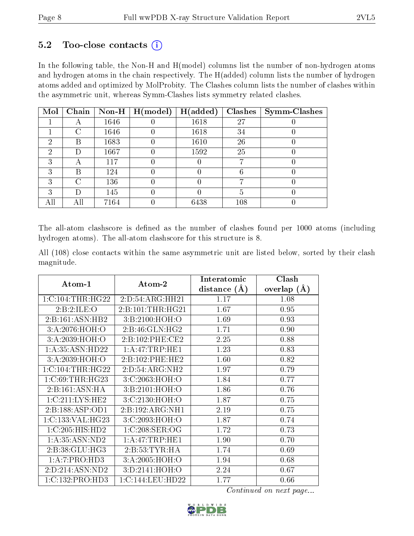### $5.2$  Too-close contacts  $(i)$

In the following table, the Non-H and H(model) columns list the number of non-hydrogen atoms and hydrogen atoms in the chain respectively. The H(added) column lists the number of hydrogen atoms added and optimized by MolProbity. The Clashes column lists the number of clashes within the asymmetric unit, whereas Symm-Clashes lists symmetry related clashes.

| Mol |                    |      | Chain   Non-H   H(model) | H(added) |     | $Clashes$   Symm-Clashes |
|-----|--------------------|------|--------------------------|----------|-----|--------------------------|
|     |                    | 1646 |                          | 1618     | 27  |                          |
|     | $\sqrt{ }$         | 1646 |                          | 1618     | 34  |                          |
| 2   | В                  | 1683 |                          | 1610     | 26  |                          |
| 2   | D                  | 1667 |                          | 1592     | 25  |                          |
| 3   | A                  | 117  |                          |          |     |                          |
| 3   | В                  | 124  |                          |          |     |                          |
| ົ   | $\curvearrowright$ | 136  |                          |          |     |                          |
| 3   |                    | 145  |                          |          |     |                          |
|     |                    | 7164 |                          | 6438     | 108 |                          |

The all-atom clashscore is defined as the number of clashes found per 1000 atoms (including hydrogen atoms). The all-atom clashscore for this structure is 8.

All (108) close contacts within the same asymmetric unit are listed below, sorted by their clash magnitude.

|                       |                      | Interatomic    | Clash         |
|-----------------------|----------------------|----------------|---------------|
| Atom-1                | Atom-2               | distance $(A)$ | overlap $(A)$ |
| 1:C:104:THR:HG22      | 2:D:54:ARG:HH21      | 1.17           | 1.08          |
| 2:B:2:ILE:O           | 2: B: 101: THR: HG21 | 1.67           | 0.95          |
| 2:B:161:ASN:HB2       | 3:B:2100:HOH:O       | 1.69           | 0.93          |
| 3: A:2076:HOH:O       | 2:B:46:GLN:HG2       | 1.71           | 0.90          |
| 3:A:2039:HOH:O        | 2:B:102:PHE:CE2      | 2.25           | 0.88          |
| 1: A:35: ASN:HD22     | 1: A:47:TRP:HE1      | 1.23           | 0.83          |
| 3: A:2039:HOH:O       | 2:B:102:PHE:HE2      | 1.60           | 0.82          |
| $1:C:104$ : THR: HG22 | 2:D:54:ARG:NH2       | 1.97           | 0.79          |
| 1:C:69:THR:HG23       | 3:C:2063:HOH:O       | 1.84           | 0.77          |
| 2:B:161:ASN:HA        | 3: B:2101:HOH:O      | 1.86           | 0.76          |
| 1:C:211:LYS:HE2       | 3:C:2130:HOH:O       | 1.87           | 0.75          |
| 2:B:188:ASP:OD1       | 2:B:192:ARG:NH1      | 2.19           | 0.75          |
| 1:C:133:VAL:HG23      | 3:C:2093:HOH:O       | 1.87           | 0.74          |
| 1:C:205:HIS:HD2       | 1:C:208:SER:OG       | 1.72           | 0.73          |
| 1:A:35:ASN:ND2        | 1: A:47:TRP:HE1      | 1.90           | 0.70          |
| 2: B:38: GLU: HG3     | 2:B:53:TYR:HA        | 1.74           | 0.69          |
| 1:A:7:PRO:HD3         | 3:A:2005:HOH:O       | 1.94           | 0.68          |
| 2:D:214:ASN:ND2       | 3:D:2141:HOH:O       | 2.24           | 0.67          |
| 1:C:132:PRO:HD3       | 1:C:144:LEU:HD22     | 1.77           | 0.66          |

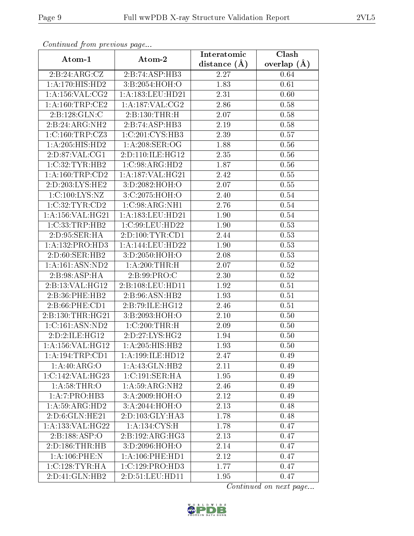| Continuation providus page   |                      | Interatomic       | Clash           |
|------------------------------|----------------------|-------------------|-----------------|
| Atom-1                       | Atom-2               | distance $(A)$    | overlap $(\AA)$ |
| 2:B:24:ARG:CZ                | 2:B:74:ASP:HB3       | 2.27              | 0.64            |
| $1:A:170:\overline{HIS:HD2}$ | 3:B:2054:HOH:O       | 1.83              | 0.61            |
| 1: A: 156: VAL: CG2          | 1: A: 183: LEU: HD21 | 2.31              | 0.60            |
| 1: A:160:TRP:CE2             | 1: A: 187: VAL: CG2  | 2.86              | 0.58            |
| 2:B:128:GLN:C                | 2:B:130:THR:H        | 2.07              | 0.58            |
| 2:B:24:ARG:NH2               | 2:B:74:ASP:HB3       | 2.19              | 0.58            |
| 1:C:160:TRP:CZ3              | 1:C:201:CYS:HB3      | 2.39              | 0.57            |
| $1:A:205:HIS:H\overline{D2}$ | 1: A:208: SER:OG     | 1.88              | 0.56            |
| 2:D:87:VAL:CG1               | 2:D:110:ILE:HG12     | 2.35              | 0.56            |
| 1:C:32:TYR:HB2               | 1:C:98:ARG:HD2       | 1.87              | 0.56            |
| 1: A: 160: TRP: CD2          | 1:A:187:VAL:HG21     | 2.42              | 0.55            |
| $2:D:203:LYS:\overline{HE2}$ | 3:D:2082:HOH:O       | $\overline{2.07}$ | 0.55            |
| 1:C:100:LYS:NZ               | 3:C:2075:HOH:O       | 2.40              | 0.54            |
| 1:C:32:TYR:CD2               | 1:C:98:ARG:NH1       | 2.76              | 0.54            |
| 1:A:156:VAL:HG21             | 1:A:183:LEU:HD21     | 1.90              | $0.54\,$        |
| 1:C:33:TRP:HB2               | 1:C:99:LEU:HD22      | 1.90              | 0.53            |
| 2:D:95:SER:HA                | 2:D:100:TYR:CD1      | 2.44              | 0.53            |
| 1: A: 132: PRO: HD3          | 1:A:144:LEU:HD22     | 1.90              | 0.53            |
| 2:D:60:SER:HB2               | 3:D:2050:HOH:O       | 2.08              | 0.53            |
| 1: A: 161: ASN: ND2          | 1: A:200:THR:H       | 2.07              | 0.52            |
| 2:B:98:ASP:HA                | 2: B:99: PRO: C      | 2.30              | 0.52            |
| 2:B:13:VAL:HG12              | 2:B:108:LEU:HD11     | 1.92              | 0.51            |
| 2:B:36:PHE:HB2               | 2:B:96:ASN:HB2       | 1.93              | 0.51            |
| 2:B:66:PHE:CD1               | 2:B:79:ILE:HG12      | 2.46              | 0.51            |
| 2:B:130:THR:HG21             | 3:B:2093:HOH:O       | 2.10              | 0.50            |
| 1:C:161:ASN:ND2              | 1:C:200:THR:H        | 2.09              | 0.50            |
| 2:D:2:ILE:HG12               | 2:D:27:LYS:HG2       | 1.94              | 0.50            |
| 1: A: 156: VAL: HG12         | 1:A:205:H1S:HB2      | 1.93              | 0.50            |
| 1:A:194:TRP:CD1              | 1:A:199:ILE:HD12     | 2.47              | 0.49            |
| 1:A:40:ARG:O                 | 1:A:43:GLN:HB2       | 2.11              | 0.49            |
| 1:C:142:VAL:HG23             | 1:C:191:SER:HA       | 1.95              | 0.49            |
| 1: A:58:THR:O                | 1:A:59:ARG:NH2       | 2.46              | 0.49            |
| 1:A:7:PRO:HB3                | 3: A:2009:HOH:O      | 2.12              | 0.49            |
| 1:A:59:ARG:HD2               | 3:A:2044:HOH:O       | 2.13              | 0.48            |
| 2:D:6:GLN:HE21               | 2:D:103:GLY:HA3      | 1.78              | 0.48            |
| 1: A: 133: VAL:HG22          | 1:A:134:CYS:H        | 1.78              | 0.47            |
| 2:B:188:ASP:O                | 2:B:192:ARG:HG3      | 2.13              | 0.47            |
| 2:D:186:THR:HB               | 3:D:2096:HOH:O       | 2.14              | 0.47            |
| 1:A:106:PHE:N                | 1: A:106: PHE: HD1   | 2.12              | 0.47            |
| 1:C:128:TYR:HA               | 1:C:129:PRO:HD3      | 1.77              | 0.47            |
| 2: D: 41: GLN: HB2           | 2:D:51:LEU:HD11      | 1.95              | 0.47            |

Continued from previous page.

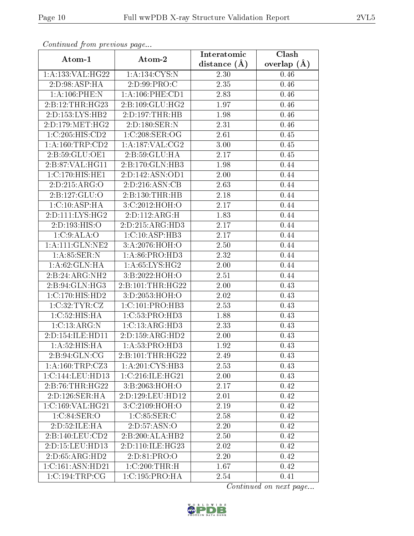| Comunaca jiom previous page |                      | Interatomic    | Clash           |
|-----------------------------|----------------------|----------------|-----------------|
| Atom-1                      | Atom-2               | distance $(A)$ | overlap $(\AA)$ |
| 1: A: 133: VAL:HG22         | 1:A:134:CYS:N        | 2.30           | 0.46            |
| 2:D:98:ASP:HA               | 2:D:99:PRO:C         | 2.35           | 0.46            |
| 1:A:106:PHE:N               | 1: A: 106: PHE: CD1  | 2.83           | 0.46            |
| 2:B:12:THR:HG23             | 2:B:109:GLU:HG2      | 1.97           | 0.46            |
| 2:D:153:LYS:HB2             | 2:D:197:THR:HB       | 1.98           | 0.46            |
| 2: D: 179: MET:HG2          | 2:D:180:SER:N        | 2.31           | 0.46            |
| 1:C:205:HIS:CD2             | 1:C:208:SER:OG       | 2.61           | 0.45            |
| 1: A: 160: TRP: CD2         | 1: A: 187: VAL: CG2  | 3.00           | 0.45            |
| 2:B:59:GLU:OE1              | 2:B:59:GLU:HA        | 2.17           | 0.45            |
| 2:B:87:VAL:HG11             | 2:B:170:GLN:HB3      | 1.98           | 0.44            |
| 1:C:170:HIS:HE1             | 2:D:142:ASN:OD1      | 2.00           | 0.44            |
| 2:D:215:ARG:O               | 2:D:216:ASN:CB       | 2.63           | 0.44            |
| 2:B:127:GLU:O               | 2:B:130:THR:HB       | 2.18           | 0.44            |
| 1:C:10:ASP:HA               | 3:C:2012:HOH:O       | 2.17           | 0.44            |
| 2:D:111:LYS:HG2             | 2:D:112:ARG:H        | 1.83           | 0.44            |
| 2:D:193:HIS:O               | 2:D:215:ARG:HD3      | 2.17           | 0.44            |
| 1:C:9:ALA:O                 | 1:C:10:ASP:HB3       | 2.17           | 0.44            |
| 1: A:111: GLN:NE2           | 3: A:2076: HOH:O     | 2.50           | 0.44            |
| 1:A:85:SER:N                | 1:A:86:PRO:HD3       | 2.32           | 0.44            |
| 1:A:62:GLN:HA               | 1: A:65:LYS:HG2      | 2.00           | 0.44            |
| 2:B:24:ARG:NH2              | 3:B:2022:HOH:O       | 2.51           | 0.44            |
| 2:B:94:GLN:HG3              | 2: B: 101: THR: HG22 | 2.00           | 0.43            |
| 1:C:170:HIS:HD2             | 3:D:2053:HOH:O       | 2.02           | 0.43            |
| 1:C:32:TYR:CZ               | 1:C:101:PRO:HB3      | 2.53           | 0.43            |
| 1:C:52:HIS:HA               | 1:C:53:PRO:HD3       | 1.88           | 0.43            |
| 1:C:13:ARG:N                | 1:C:13:ARG:HD3       | 2.33           | 0.43            |
| 2:D:154:ILE:HD11            | 2:D:159:ARG:HD2      | 2.00           | 0.43            |
| $1:A:52:\overline{HIS:HA}$  | 1: A:53: PRO:HD3     | 1.92           | 0.43            |
| 2:B:94:GLN:CG               | 2:B:101:THR:HG22     | 2.49           | 0.43            |
| 1:A:160:TRP:CZ3             | 1:A:201:CYS:HB3      | 2.53           | 0.43            |
| 1:C:144:LEU:HD13            | 1:C:216:ILE:HG21     | 2.00           | 0.43            |
| 2:B:76:THR:HG22             | 3:B:2063:HOH:O       | 2.17           | 0.42            |
| 2:D:126:SER:HA              | 2:D:129:LEU:HD12     | 2.01           | 0.42            |
| 1:C:169:VAL:HG21            | 3:C:2109:HOH:O       | 2.19           | 0.42            |
| 1:C:84:SER:O                | 1:C:85:SER:C         | 2.58           | 0.42            |
| 2:D:52:ILE:HA               | 2:D:57:ASN:O         | 2.20           | 0.42            |
| 2:B:140:LEU:CD2             | 2:B:200:ALA:HB2      | 2.50           | 0.42            |
| 2:D:15:LEU:HD13             | 2:D:110:ILE:HG23     | 2.02           | 0.42            |
| 2:D:65:ARG:HD2              | 2:D:81:PRO:O         | 2.20           | 0.42            |
| 1:C:161:ASN:HD21            | 1:C:200:THR:H        | 1.67           | 0.42            |
| 1:C:194:TRP:CG              | 1:C:195:PRO:HA       | 2.54           | 0.41            |

Continued from previous page.

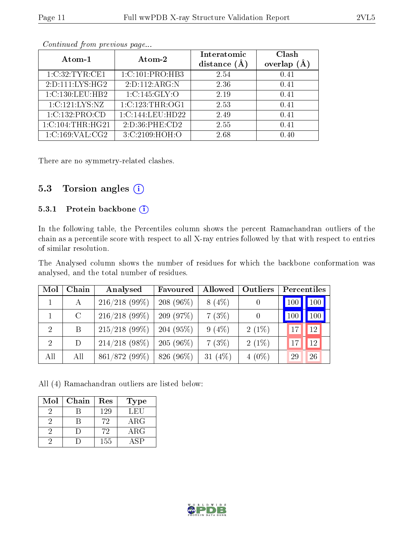| Atom-1           | Atom-2            | Interatomic<br>distance $(A)$ | Clash<br>overlap |
|------------------|-------------------|-------------------------------|------------------|
| 1:C:32:TYR:CE1   | 1:C:101:PRO:HB3   | 2.54                          | 0.41             |
| 2:D:111:LYS:HG2  | 2:D:112:ARG:N     | 2.36                          | 0.41             |
| 1:C:130:LEU:HB2  | 1:C:145:GLY:O     | 2.19                          | 0.41             |
| 1:C:121:LYS:NZ   | 1:C:123:THR:OG1   | 2.53                          | 0.41             |
| 1:C:132:PRO:CD   | 1:C:144:LEU:HD22  | 2.49                          | 0.41             |
| 1:C:104:THR:HG21 | 2:D:36:PHE:CD2    | 2.55                          | 0.41             |
| 1:C:169:VAL:CG2  | 3: C: 2109: HOH:O | 2.68                          | በ 4በ             |

Continued from previous page...

There are no symmetry-related clashes.

### 5.3 Torsion angles (i)

#### 5.3.1 Protein backbone (i)

In the following table, the Percentiles column shows the percent Ramachandran outliers of the chain as a percentile score with respect to all X-ray entries followed by that with respect to entries of similar resolution.

The Analysed column shows the number of residues for which the backbone conformation was analysed, and the total number of residues.

| Mol            | Chain         | Analysed        | Favoured       | Allowed    | Outliers         | Percentiles |
|----------------|---------------|-----------------|----------------|------------|------------------|-------------|
|                | А             | $216/218(99\%)$ | 208 (96 $\%$ ) | $8(4\%)$   |                  | 100         |
|                | $\mathcal{C}$ | $216/218(99\%)$ | 209(97%)       | 7(3%)      | $\left( \right)$ | 100<br>100  |
| $\overline{2}$ | B             | $215/218$ (99%) | 204(95%)       | $9(4\%)$   | $2(1\%)$         | 12          |
| $\overline{2}$ | D             | $214/218$ (98%) | $205(96\%)$    | 7(3%)      | $2(1\%)$         | 12<br>17    |
| All            | All           | 861/872 (99%)   | 826 (96%)      | 31 $(4\%)$ | $4(0\%)$         | 29<br>26    |

All (4) Ramachandran outliers are listed below:

| Mol | Chain | Res | <b>Type</b> |
|-----|-------|-----|-------------|
|     |       | 129 | LEU         |
|     |       | 72  | $\rm{ARG}$  |
|     |       | 72  | $\rm{ARG}$  |
|     |       | 155 |             |

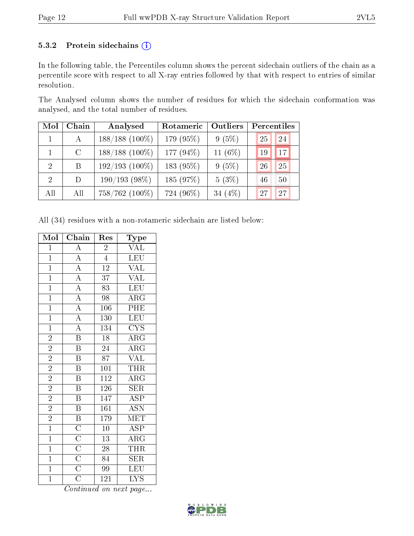#### 5.3.2 Protein sidechains  $(i)$

In the following table, the Percentiles column shows the percent sidechain outliers of the chain as a percentile score with respect to all X-ray entries followed by that with respect to entries of similar resolution.

The Analysed column shows the number of residues for which the sidechain conformation was analysed, and the total number of residues.

| Mol                         | Chain         | Analysed            | Rotameric | Outliers   | Percentiles |    |
|-----------------------------|---------------|---------------------|-----------|------------|-------------|----|
|                             | $\mathbf{A}$  | $188/188$ (100%)    | 179 (95%) | 9(5%)      | 25          | 24 |
|                             | $\mathcal{C}$ | $188/188$ (100%)    | 177 (94%) | 11 $(6\%)$ | 19          | 17 |
| $\mathcal{D}_{\mathcal{L}}$ | B             | $192/193$ $(100\%)$ | 183 (95%) | 9(5%)      | 26          | 25 |
| $\mathcal{D}_{\mathcal{L}}$ | D             | $190/193(98\%)$     | 185 (97%) | 5(3%)      | 46          | 50 |
| All                         | All           | 758/762 (100%)      | 724 (96%) | 34 $(4\%)$ | 27          | 27 |

All (34) residues with a non-rotameric sidechain are listed below:

| Mol            | Chain                                                                                                | Res              | $_{\rm Type}$           |
|----------------|------------------------------------------------------------------------------------------------------|------------------|-------------------------|
| $\overline{1}$ | $\overline{A}$                                                                                       | $\overline{2}$   | <b>VAL</b>              |
| $\overline{1}$ | $\overline{A}$                                                                                       | $\overline{4}$   | <b>LEU</b>              |
| $\overline{1}$ | $\overline{A}$                                                                                       | $\overline{12}$  | <b>VAL</b>              |
| $\overline{1}$ | $\overline{A}$                                                                                       | $\overline{37}$  | <b>VAL</b>              |
| $\overline{1}$ | $\overline{A}$                                                                                       | $\overline{83}$  | LEU                     |
| $\overline{1}$ | $\overline{A}$                                                                                       | 98               | $\rm{ARG}$              |
| $\overline{1}$ | $\overline{A}$                                                                                       | $\overline{106}$ | PHE                     |
| $\mathbf{1}$   | $\overline{A}$                                                                                       | 130              | <b>LEU</b>              |
| $\mathbf{1}$   | $\overline{A}$                                                                                       | 134              | <b>CYS</b>              |
| $\overline{2}$ | $\overline{\mathbf{B}}$                                                                              | $\overline{18}$  | $\overline{\rm{ARG}}$   |
| $\overline{2}$ | $\overline{\mathrm{B}}$                                                                              | $\overline{24}$  | $\overline{\rm{ARG}}$   |
| $\overline{2}$ | $\overline{\mathrm{B}}$                                                                              | $\overline{87}$  | <b>VAL</b>              |
| $\overline{2}$ | $\overline{\mathrm{B}}$                                                                              | $\overline{101}$ | <b>THR</b>              |
| $\overline{2}$ | $\overline{\mathrm{B}}$                                                                              | $\overline{112}$ | $\overline{\rm{ARG}}$   |
| $\overline{2}$ | $\overline{\mathrm{B}}$                                                                              | $\overline{126}$ | SER                     |
| $\overline{2}$ | $\, {\bf B}$                                                                                         | 147              | $\overline{\text{ASP}}$ |
| $\overline{2}$ | $\overline{\mathrm{B}}$                                                                              | $\overline{161}$ | $\overline{ASN}$        |
| $\overline{2}$ | $\overline{B}$                                                                                       | 179              | $\textrm{MET}$          |
| $\overline{1}$ |                                                                                                      | $\overline{10}$  | $\overline{\text{ASP}}$ |
| $\overline{1}$ |                                                                                                      | 13               | $\overline{\rm ARG}$    |
| $\overline{1}$ | $\frac{\overline{\text{C}}}{\overline{\text{C}}}}$ $\frac{\overline{\text{C}}}{\overline{\text{C}}}$ | $\overline{28}$  | <b>THR</b>              |
| $\overline{1}$ |                                                                                                      | 84               | $\overline{\text{SER}}$ |
| $\overline{1}$ |                                                                                                      | $\overline{99}$  | LEU                     |
| $\overline{1}$ | $\overline{\rm C}$                                                                                   | 121              | $\overline{\text{LYS}}$ |

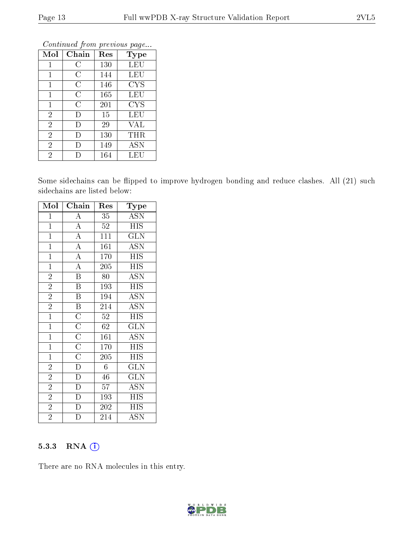| Mol            | Chain              | Res | <b>Type</b> |
|----------------|--------------------|-----|-------------|
| $\mathbf{1}$   | С                  | 130 | <b>LEU</b>  |
| 1              | $\overline{\rm C}$ | 144 | <b>LEU</b>  |
| 1              | C                  | 146 | <b>CYS</b>  |
| $\mathbf{1}$   | C                  | 165 | LEU         |
| $\mathbf 1$    | C                  | 201 | <b>CYS</b>  |
| $\overline{2}$ | D                  | 15  | LEU         |
| $\overline{2}$ | D                  | 29  | VAL         |
| $\overline{2}$ | D                  | 130 | THR         |
| $\overline{2}$ | Ð                  | 149 | <b>ASN</b>  |
| $\overline{2}$ |                    | 164 | LEU         |

Continued from previous page...

Some sidechains can be flipped to improve hydrogen bonding and reduce clashes. All (21) such sidechains are listed below:

| Mol            | Chain                                                                                | Res              | Type                      |
|----------------|--------------------------------------------------------------------------------------|------------------|---------------------------|
| $\mathbf{1}$   | $\boldsymbol{A}$                                                                     | 35               | ASN                       |
| $\overline{1}$ | $\overline{A}$                                                                       | $52\,$           | <b>HIS</b>                |
| $\overline{1}$ | $\overline{A}$                                                                       | $\overline{11}1$ | $\overline{\text{GLN}}$   |
| $\overline{1}$ | $\overline{A}$                                                                       | 161              | $\overline{\mathrm{ASN}}$ |
| $\mathbf{1}$   | $\overline{A}$                                                                       | 170              | <b>HIS</b>                |
| $\overline{1}$ | $\overline{\rm A}$                                                                   | 205              | <b>HIS</b>                |
| $\overline{2}$ | $\overline{\mathbf{B}}$                                                              | 80               | $\overline{ASN}$          |
| $\overline{2}$ | $\overline{\text{B}}$                                                                | 193              | <b>HIS</b>                |
| $\overline{2}$ | $\overline{\mathrm{B}}$                                                              | 194              | <b>ASN</b>                |
| $\overline{2}$ | $\overline{\mathbf{B}}$                                                              | 214              | $\overline{\mathrm{ASN}}$ |
| $\overline{1}$ |                                                                                      | $52\,$           | HIS                       |
| $\mathbf{1}$   |                                                                                      | 62               | <b>GLN</b>                |
| $\overline{1}$ |                                                                                      | 161              | <b>ASN</b>                |
| $\overline{1}$ |                                                                                      | 170              | <b>HIS</b>                |
| $\mathbf{1}$   | $\overline{C}\ \overline{C}\ \overline{C}\ \overline{C}\ \overline{C}\ \overline{D}$ | 205              | <b>HIS</b>                |
| $\overline{2}$ |                                                                                      | $\overline{6}$   | $\overline{\text{GLN}}$   |
| $\overline{2}$ | $\overline{D}$                                                                       | 46               | <b>GLN</b>                |
| $\overline{2}$ | $\overline{D}$                                                                       | 57               | $\operatorname{ASN}$      |
| $\overline{2}$ | $\overline{\rm D}$                                                                   | 193              | <b>HIS</b>                |
| $\overline{2}$ | $\overline{\rm D}$                                                                   | 202              | <b>HIS</b>                |
| $\overline{2}$ | $\overline{\rm D}$                                                                   | 214              | $\overline{\mathrm{ASN}}$ |

#### 5.3.3 RNA (i)

There are no RNA molecules in this entry.

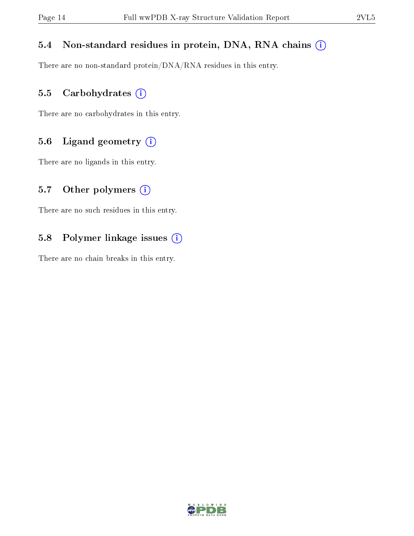#### 5.4 Non-standard residues in protein, DNA, RNA chains (i)

There are no non-standard protein/DNA/RNA residues in this entry.

#### 5.5 Carbohydrates (i)

There are no carbohydrates in this entry.

### 5.6 Ligand geometry (i)

There are no ligands in this entry.

#### 5.7 [O](https://www.wwpdb.org/validation/2017/XrayValidationReportHelp#nonstandard_residues_and_ligands)ther polymers  $(i)$

There are no such residues in this entry.

#### 5.8 Polymer linkage issues (i)

There are no chain breaks in this entry.

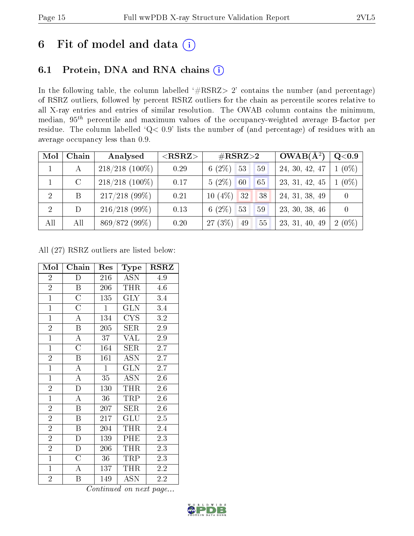## 6 Fit of model and data  $(i)$

### 6.1 Protein, DNA and RNA chains  $(i)$

In the following table, the column labelled  $#RSRZ> 2'$  contains the number (and percentage) of RSRZ outliers, followed by percent RSRZ outliers for the chain as percentile scores relative to all X-ray entries and entries of similar resolution. The OWAB column contains the minimum, median,  $95<sup>th</sup>$  percentile and maximum values of the occupancy-weighted average B-factor per residue. The column labelled ' $Q< 0.9$ ' lists the number of (and percentage) of residues with an average occupancy less than 0.9.

| Mol            | Chain         | Analysed          | ${ <\hspace{-1.5pt}{\mathrm{RSRZ}} \hspace{-1.5pt}>}$ | $\rm \#RSRZ{>}2$      | $OWAB(A^2)$    | Q <sub>0.9</sub> |
|----------------|---------------|-------------------|-------------------------------------------------------|-----------------------|----------------|------------------|
| $\mathbf{1}$   | A             | $218/218$ (100\%) | 0.29                                                  | $6(2\%)$ 53<br>59     | 24, 30, 42, 47 | $1(0\%)$         |
|                | $\mathcal{C}$ | $218/218$ (100%)  | 0.17                                                  | $5(2\%)$<br>60<br>65  | 23, 31, 42, 45 | $1(0\%)$         |
| -2             | B             | $217/218$ (99%)   | 0.21                                                  | $10(4\%)$ 32<br>38    | 24, 31, 38, 49 |                  |
| $\overline{2}$ | D             | 216/218(99%)      | 0.13                                                  | 6 $(2\%)$<br>53<br>59 | 23, 30, 38, 46 |                  |
| All            | All           | 869/872 (99%)     | 0.20                                                  | $27(3\%)$<br>55<br>49 | 23, 31, 40, 49 | $2(0\%)$         |

All (27) RSRZ outliers are listed below:

| Mol            | Chain                 | Res          | Type                    | $_{\rm RSRZ}$    |
|----------------|-----------------------|--------------|-------------------------|------------------|
| $\overline{2}$ | D                     | 216          | <b>ASN</b>              | 4.9              |
| $\overline{2}$ | $\boldsymbol{B}$      | 206          | <b>THR</b>              | 4.6              |
| $\mathbf{1}$   | $\overline{\rm C}$    | 135          | $\rm GLY$               | 3.4              |
| $\overline{1}$ | $\overline{\rm C}$    | $\mathbf{1}$ | <b>GLN</b>              | 3.4              |
| $\overline{1}$ | $\overline{\rm A}$    | 134          | $_{\mathrm{CYS}}$       | $\overline{3}.2$ |
| $\overline{2}$ | $\boldsymbol{B}$      | 205          | SER                     | 2.9              |
| $\overline{1}$ | $\bf{A}$              | 37           | VAL                     | 2.9              |
| $\mathbf{1}$   | $\overline{\rm C}$    | 164          | SER                     | 2.7              |
| $\overline{2}$ | $\, {\bf B}$          | 161          | <b>ASN</b>              | 2.7              |
| $\overline{1}$ | $\overline{A}$        | $\mathbf{1}$ | $\overline{\text{GLN}}$ | 2.7              |
| $\overline{1}$ | $\boldsymbol{A}$      | 35           | ASN                     | 2.6              |
| $\overline{2}$ | $\overline{\text{D}}$ | 130          | THR                     | $2.6\,$          |
| $\overline{1}$ | $\overline{A}$        | 36           | TRP                     | 2.6              |
| $\overline{2}$ | $\boldsymbol{B}$      | 207          | SER                     | 2.6              |
| $\overline{2}$ | B                     | 217          | GLU                     | 2.5              |
| $\overline{2}$ | $\boldsymbol{B}$      | 204          | <b>THR</b>              | 2.4              |
| $\overline{2}$ | $\mathbf D$           | 139          | PHE                     | 2.3              |
| $\overline{2}$ | $\mathbf{D}$          | 206          | THR                     | 2.3              |
| $\overline{1}$ | $\overline{C}$        | 36           | TRP                     | 2.3              |
| $\mathbf{1}$   | A                     | 137          | THR                     | 2.2              |
| $\overline{2}$ | B                     | 149          | <b>ASN</b>              | 2.2              |